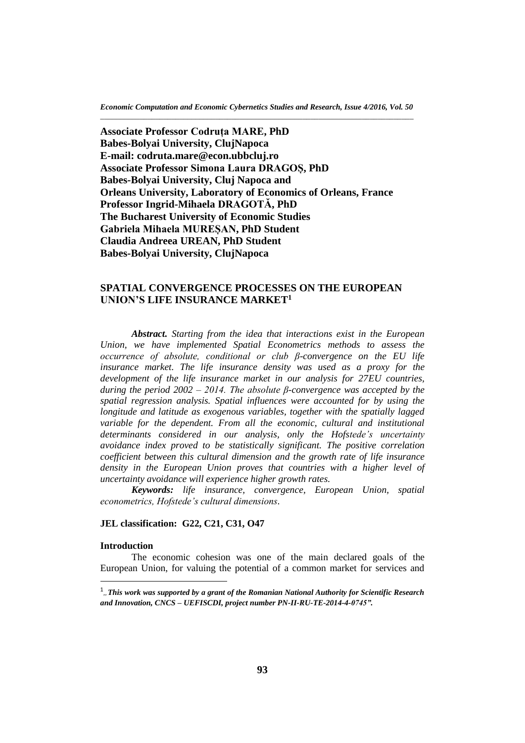**Associate Professor Codruța MARE, PhD Babes-Bolyai University, ClujNapoca E-mail: codruta.mare@econ.ubbcluj.ro Associate Professor Simona Laura DRAGOȘ, PhD Babes-Bolyai University, Cluj Napoca and Orleans University, Laboratory of Economics of Orleans, France Professor Ingrid-Mihaela DRAGOTĂ, PhD The Bucharest University of Economic Studies Gabriela Mihaela MUREȘAN, PhD Student Claudia Andreea UREAN, PhD Student Babes-Bolyai University, ClujNapoca**

# **SPATIAL CONVERGENCE PROCESSES ON THE EUROPEAN UNION'S LIFE INSURANCE MARKET<sup>1</sup>**

*Abstract. Starting from the idea that interactions exist in the European Union, we have implemented Spatial Econometrics methods to assess the occurrence of absolute, conditional or club β-convergence on the EU life*  insurance market. The life insurance density was used as a proxy for the *development of the life insurance market in our analysis for 27EU countries, during the period 2002 – 2014. The absolute β-convergence was accepted by the spatial regression analysis. Spatial influences were accounted for by using the longitude and latitude as exogenous variables, together with the spatially lagged variable for the dependent. From all the economic, cultural and institutional determinants considered in our analysis, only the Hofstede's uncertainty avoidance index proved to be statistically significant. The positive correlation coefficient between this cultural dimension and the growth rate of life insurance density in the European Union proves that countries with a higher level of uncertainty avoidance will experience higher growth rates.*

*Keywords: life insurance, convergence, European Union, spatial econometrics, Hofstede's cultural dimensions.*

### **JEL classification: G22, C21, C31, O47**

# **Introduction**

 $\overline{\phantom{a}}$ 

The economic cohesion was one of the main declared goals of the European Union, for valuing the potential of a common market for services and

<sup>1</sup> *"This work was supported by a grant of the Romanian National Authority for Scientific Research and Innovation, CNCS – UEFISCDI, project number PN-II-RU-TE-2014-4-0745".*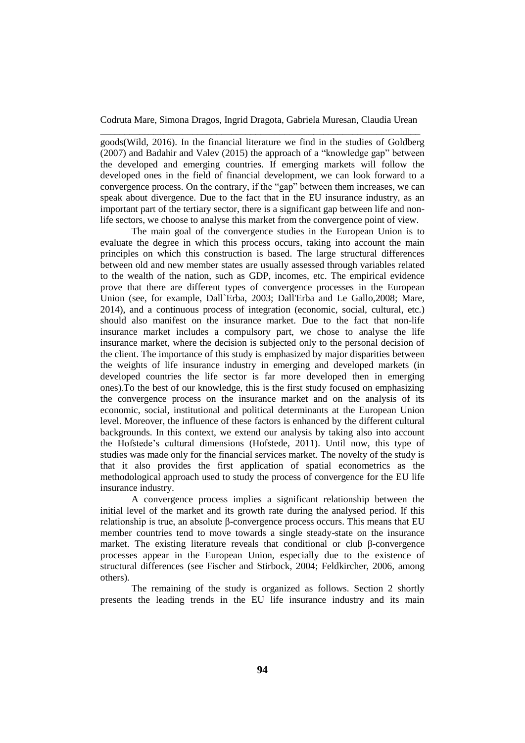goods(Wild, 2016). In the financial literature we find in the studies of Goldberg (2007) and Badahir and Valev (2015) the approach of a "knowledge gap" between the developed and emerging countries. If emerging markets will follow the developed ones in the field of financial development, we can look forward to a convergence process. On the contrary, if the "gap" between them increases, we can speak about divergence. Due to the fact that in the EU insurance industry, as an important part of the tertiary sector, there is a significant gap between life and nonlife sectors, we choose to analyse this market from the convergence point of view.

The main goal of the convergence studies in the European Union is to evaluate the degree in which this process occurs, taking into account the main principles on which this construction is based. The large structural differences between old and new member states are usually assessed through variables related to the wealth of the nation, such as GDP, incomes, etc. The empirical evidence prove that there are different types of convergence processes in the European Union (see, for example, Dall`Erba, 2003; Dall'Erba and Le Gallo,2008; Mare, 2014), and a continuous process of integration (economic, social, cultural, etc.) should also manifest on the insurance market. Due to the fact that non-life insurance market includes a compulsory part, we chose to analyse the life insurance market, where the decision is subjected only to the personal decision of the client. The importance of this study is emphasized by major disparities between the weights of life insurance industry in emerging and developed markets (in developed countries the life sector is far more developed then in emerging ones).To the best of our knowledge, this is the first study focused on emphasizing the convergence process on the insurance market and on the analysis of its economic, social, institutional and political determinants at the European Union level. Moreover, the influence of these factors is enhanced by the different cultural backgrounds. In this context, we extend our analysis by taking also into account the Hofstede's cultural dimensions (Hofstede, 2011). Until now, this type of studies was made only for the financial services market. The novelty of the study is that it also provides the first application of spatial econometrics as the methodological approach used to study the process of convergence for the EU life insurance industry.

A convergence process implies a significant relationship between the initial level of the market and its growth rate during the analysed period. If this relationship is true, an absolute β-convergence process occurs. This means that EU member countries tend to move towards a single steady-state on the insurance market. The existing literature reveals that conditional or club β-convergence processes appear in the European Union, especially due to the existence of structural differences (see Fischer and Stirbock, 2004; Feldkircher, 2006, among others).

The remaining of the study is organized as follows. Section 2 shortly presents the leading trends in the EU life insurance industry and its main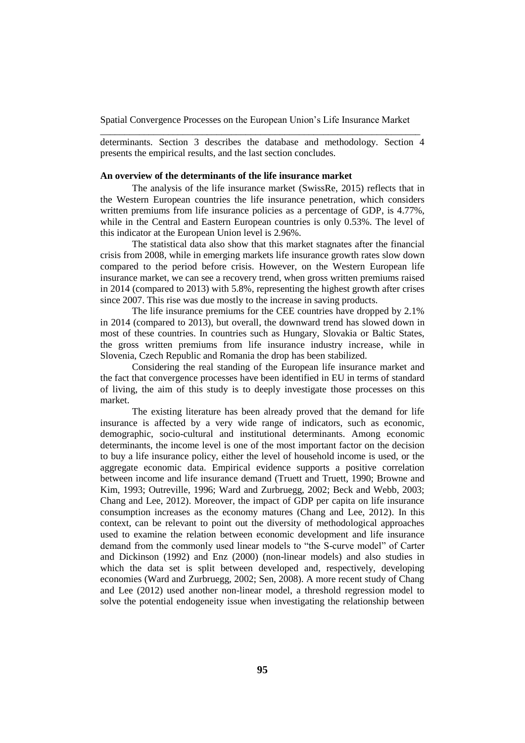determinants. Section 3 describes the database and methodology. Section 4 presents the empirical results, and the last section concludes.

## **An overview of the determinants of the life insurance market**

The analysis of the life insurance market (SwissRe, 2015) reflects that in the Western European countries the life insurance penetration, which considers written premiums from life insurance policies as a percentage of GDP, is 4.77%, while in the Central and Eastern European countries is only 0.53%. The level of this indicator at the European Union level is 2.96%.

The statistical data also show that this market stagnates after the financial crisis from 2008, while in emerging markets life insurance growth rates slow down compared to the period before crisis. However, on the Western European life insurance market, we can see a recovery trend, when gross written premiums raised in 2014 (compared to 2013) with 5.8%, representing the highest growth after crises since 2007. This rise was due mostly to the increase in saving products.

The life insurance premiums for the CEE countries have dropped by 2.1% in 2014 (compared to 2013), but overall, the downward trend has slowed down in most of these countries. In countries such as Hungary, Slovakia or Baltic States, the gross written premiums from life insurance industry increase, while in Slovenia, Czech Republic and Romania the drop has been stabilized.

Considering the real standing of the European life insurance market and the fact that convergence processes have been identified in EU in terms of standard of living, the aim of this study is to deeply investigate those processes on this market.

The existing literature has been already proved that the demand for life insurance is affected by a very wide range of indicators, such as economic, demographic, socio-cultural and institutional determinants. Among economic determinants, the income level is one of the most important factor on the decision to buy a life insurance policy, either the level of household income is used, or the aggregate economic data. Empirical evidence supports a positive correlation between income and life insurance demand (Truett and Truett, 1990; Browne and Kim, 1993; Outreville, 1996; Ward and Zurbruegg, 2002; Beck and Webb, 2003; Chang and Lee, 2012). Moreover, the impact of GDP per capita on life insurance consumption increases as the economy matures (Chang and Lee, 2012). In this context, can be relevant to point out the diversity of methodological approaches used to examine the relation between economic development and life insurance demand from the commonly used linear models to "the S-curve model" of Carter and Dickinson (1992) and Enz (2000) (non-linear models) and also studies in which the data set is split between developed and, respectively, developing economies (Ward and Zurbruegg, 2002; Sen, 2008). A more recent study of Chang and Lee (2012) used another non-linear model, a threshold regression model to solve the potential endogeneity issue when investigating the relationship between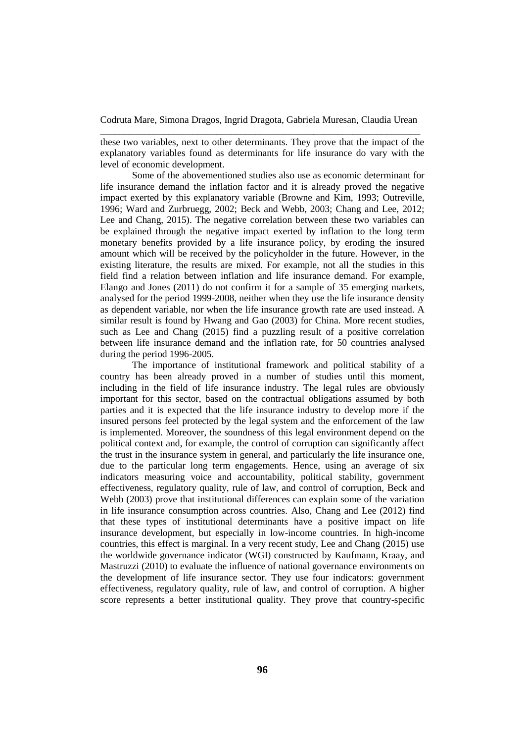these two variables, next to other determinants. They prove that the impact of the explanatory variables found as determinants for life insurance do vary with the level of economic development.

Some of the abovementioned studies also use as economic determinant for life insurance demand the inflation factor and it is already proved the negative impact exerted by this explanatory variable (Browne and Kim, 1993; Outreville, 1996; Ward and Zurbruegg, 2002; Beck and Webb, 2003; Chang and Lee, 2012; Lee and Chang, 2015). The negative correlation between these two variables can be explained through the negative impact exerted by inflation to the long term monetary benefits provided by a life insurance policy, by eroding the insured amount which will be received by the policyholder in the future. However, in the existing literature, the results are mixed. For example, not all the studies in this field find a relation between inflation and life insurance demand. For example, Elango and Jones (2011) do not confirm it for a sample of 35 emerging markets, analysed for the period 1999-2008, neither when they use the life insurance density as dependent variable, nor when the life insurance growth rate are used instead. A similar result is found by Hwang and Gao (2003) for China. More recent studies, such as Lee and Chang (2015) find a puzzling result of a positive correlation between life insurance demand and the inflation rate, for 50 countries analysed during the period 1996-2005.

The importance of institutional framework and political stability of a country has been already proved in a number of studies until this moment, including in the field of life insurance industry. The legal rules are obviously important for this sector, based on the contractual obligations assumed by both parties and it is expected that the life insurance industry to develop more if the insured persons feel protected by the legal system and the enforcement of the law is implemented. Moreover, the soundness of this legal environment depend on the political context and, for example, the control of corruption can significantly affect the trust in the insurance system in general, and particularly the life insurance one, due to the particular long term engagements. Hence, using an average of six indicators measuring voice and accountability, political stability, government effectiveness, regulatory quality, rule of law, and control of corruption, Beck and Webb (2003) prove that institutional differences can explain some of the variation in life insurance consumption across countries. Also, Chang and Lee (2012) find that these types of institutional determinants have a positive impact on life insurance development, but especially in low-income countries. In high-income countries, this effect is marginal. In a very recent study, Lee and Chang (2015) use the worldwide governance indicator (WGI) constructed by Kaufmann, Kraay, and Mastruzzi (2010) to evaluate the influence of national governance environments on the development of life insurance sector. They use four indicators: government effectiveness, regulatory quality, rule of law, and control of corruption. A higher score represents a better institutional quality. They prove that country-specific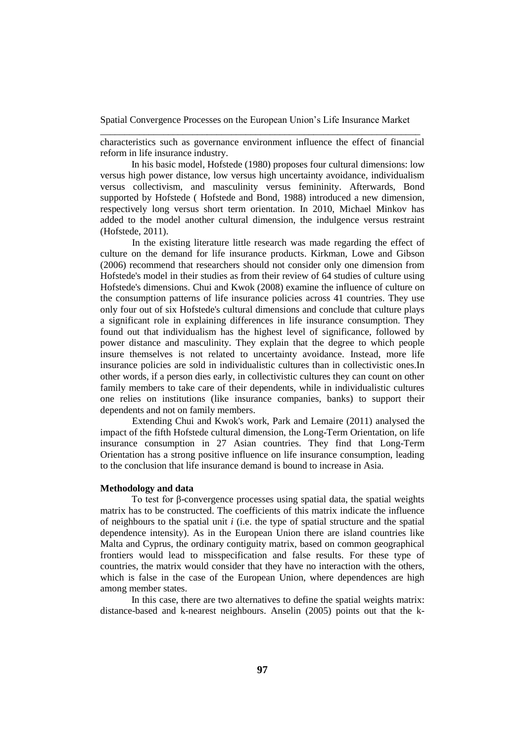characteristics such as governance environment influence the effect of financial reform in life insurance industry.

In his basic model, Hofstede (1980) proposes four cultural dimensions: low versus high power distance, low versus high uncertainty avoidance, individualism versus collectivism, and masculinity versus femininity. Afterwards, Bond supported by Hofstede ( Hofstede and Bond, 1988) introduced a new dimension, respectively long versus short term orientation. In 2010, Michael Minkov has added to the model another cultural dimension, the indulgence versus restraint (Hofstede, 2011).

In the existing literature little research was made regarding the effect of culture on the demand for life insurance products. Kirkman, Lowe and Gibson (2006) recommend that researchers should not consider only one dimension from Hofstede's model in their studies as from their review of 64 studies of culture using Hofstede's dimensions. Chui and Kwok (2008) examine the influence of culture on the consumption patterns of life insurance policies across 41 countries. They use only four out of six Hofstede's cultural dimensions and conclude that culture plays a significant role in explaining differences in life insurance consumption. They found out that individualism has the highest level of significance, followed by power distance and masculinity. They explain that the degree to which people insure themselves is not related to uncertainty avoidance. Instead, more life insurance policies are sold in individualistic cultures than in collectivistic ones.In other words, if a person dies early, in collectivistic cultures they can count on other family members to take care of their dependents, while in individualistic cultures one relies on institutions (like insurance companies, banks) to support their dependents and not on family members.

Extending Chui and Kwok's work, Park and Lemaire (2011) analysed the impact of the fifth Hofstede cultural dimension, the Long-Term Orientation, on life insurance consumption in 27 Asian countries. They find that Long-Term Orientation has a strong positive influence on life insurance consumption, leading to the conclusion that life insurance demand is bound to increase in Asia.

#### **Methodology and data**

To test for β-convergence processes using spatial data, the spatial weights matrix has to be constructed. The coefficients of this matrix indicate the influence of neighbours to the spatial unit *i* (i.e. the type of spatial structure and the spatial dependence intensity). As in the European Union there are island countries like Malta and Cyprus, the ordinary contiguity matrix, based on common geographical frontiers would lead to misspecification and false results. For these type of countries, the matrix would consider that they have no interaction with the others, which is false in the case of the European Union, where dependences are high among member states.

In this case, there are two alternatives to define the spatial weights matrix: distance-based and k-nearest neighbours. Anselin (2005) points out that the k-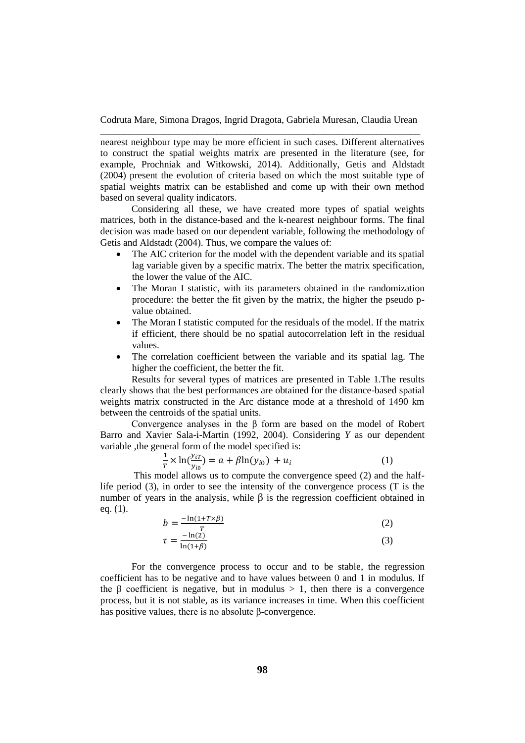nearest neighbour type may be more efficient in such cases. Different alternatives to construct the spatial weights matrix are presented in the literature (see, for example, Prochniak and Witkowski, 2014). Additionally, Getis and Aldstadt (2004) present the evolution of criteria based on which the most suitable type of spatial weights matrix can be established and come up with their own method based on several quality indicators.

Considering all these, we have created more types of spatial weights matrices, both in the distance-based and the k-nearest neighbour forms. The final decision was made based on our dependent variable, following the methodology of Getis and Aldstadt (2004). Thus, we compare the values of:

- The AIC criterion for the model with the dependent variable and its spatial lag variable given by a specific matrix. The better the matrix specification, the lower the value of the AIC.
- The Moran I statistic, with its parameters obtained in the randomization procedure: the better the fit given by the matrix, the higher the pseudo pvalue obtained.
- The Moran I statistic computed for the residuals of the model. If the matrix if efficient, there should be no spatial autocorrelation left in the residual values.
- The correlation coefficient between the variable and its spatial lag. The higher the coefficient, the better the fit.

Results for several types of matrices are presented in Table 1.The results clearly shows that the best performances are obtained for the distance-based spatial weights matrix constructed in the Arc distance mode at a threshold of 1490 km between the centroids of the spatial units.

Convergence analyses in the β form are based on the model of Robert Barro and Xavier Sala-i-Martin (1992, 2004). Considering *Y* as our dependent variable ,the general form of the model specified is:

$$
\frac{1}{T} \times \ln(\frac{y_{iT}}{y_{io}}) = a + \beta \ln(y_{io}) + u_i \tag{1}
$$

This model allows us to compute the convergence speed (2) and the halflife period (3), in order to see the intensity of the convergence process (T is the number of years in the analysis, while  $\beta$  is the regression coefficient obtained in eq. (1).

$$
b = \frac{-\ln(1 + T \times \beta)}{T} \tag{2}
$$

$$
\tau = \frac{-\ln(2)}{\ln(1+\beta)}\tag{3}
$$

For the convergence process to occur and to be stable, the regression coefficient has to be negative and to have values between 0 and 1 in modulus. If the  $\beta$  coefficient is negative, but in modulus > 1, then there is a convergence process, but it is not stable, as its variance increases in time. When this coefficient has positive values, there is no absolute β-convergence.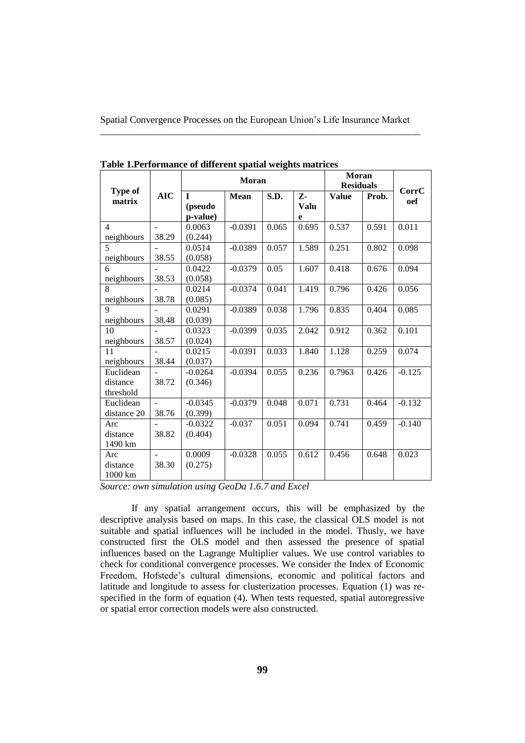|                   |            | Moran        |             |       |       | Moran<br><b>Residuals</b> |       | CorrC    |
|-------------------|------------|--------------|-------------|-------|-------|---------------------------|-------|----------|
| Type of<br>matrix | <b>AIC</b> | $\mathbf{I}$ | <b>Mean</b> | S.D.  | Z-    | <b>Value</b>              | Prob. | oef      |
|                   |            | (pseudo      |             |       | Valu  |                           |       |          |
|                   |            | p-value)     |             |       | e     |                           |       |          |
| $\overline{4}$    |            | 0.0063       | $-0.0391$   | 0.065 | 0.695 | 0.537                     | 0.591 | 0.011    |
| neighbours        | 38.29      | (0.244)      |             |       |       |                           |       |          |
| 5                 |            | 0.0514       | $-0.0389$   | 0.057 | 1.589 | 0.251                     | 0.802 | 0.098    |
| neighbours        | 38.55      | (0.058)      |             |       |       |                           |       |          |
| 6                 |            | 0.0422       | $-0.0379$   | 0.05  | 1.607 | 0.418                     | 0.676 | 0.094    |
| neighbours        | 38.53      | (0.058)      |             |       |       |                           |       |          |
| 8                 |            | 0.0214       | $-0.0374$   | 0.041 | 1.419 | 0.796                     | 0.426 | 0.056    |
| neighbours        | 38.78      | (0.085)      |             |       |       |                           |       |          |
| 9                 |            | 0.0291       | $-0.0389$   | 0.038 | 1.796 | 0.835                     | 0.404 | 0.085    |
| neighbours        | 38.48      | (0.039)      |             |       |       |                           |       |          |
| 10                |            | 0.0323       | $-0.0399$   | 0.035 | 2.042 | 0.912                     | 0.362 | 0.101    |
| neighbours        | 38.57      | (0.024)      |             |       |       |                           |       |          |
| 11                |            | 0.0215       | $-0.0391$   | 0.033 | 1.840 | 1.128                     | 0.259 | 0.074    |
| neighbours        | 38.44      | (0.037)      |             |       |       |                           |       |          |
| Euclidean         |            | $-0.0264$    | $-0.0394$   | 0.055 | 0.236 | 0.7963                    | 0.426 | $-0.125$ |
| distance          | 38.72      | (0.346)      |             |       |       |                           |       |          |
| threshold         |            |              |             |       |       |                           |       |          |
| Euclidean         |            | $-0.0345$    | $-0.0379$   | 0.048 | 0.071 | 0.731                     | 0.464 | $-0.132$ |
| distance 20       | 38.76      | (0.399)      |             |       |       |                           |       |          |
| Arc               |            | $-0.0322$    | $-0.037$    | 0.051 | 0.094 | 0.741                     | 0.459 | $-0.140$ |
| distance          | 38.82      | (0.404)      |             |       |       |                           |       |          |
| 1490 km           |            |              |             |       |       |                           |       |          |
| Arc               | $\sim$     | 0.0009       | $-0.0328$   | 0.055 | 0.612 | 0.456                     | 0.648 | 0.023    |
| distance          | 38.30      | (0.275)      |             |       |       |                           |       |          |
| 1000 km           |            |              |             |       |       |                           |       |          |

**Table 1.Performance of different spatial weights matrices**

*Source: own simulation using GeoDa 1.6.7 and Excel*

If any spatial arrangement occurs, this will be emphasized by the descriptive analysis based on maps. In this case, the classical OLS model is not suitable and spatial influences will be included in the model. Thusly, we have constructed first the OLS model and then assessed the presence of spatial influences based on the Lagrange Multiplier values. We use control variables to check for conditional convergence processes. We consider the Index of Economic Freedom, Hofstede's cultural dimensions, economic and political factors and latitude and longitude to assess for clusterization processes. Equation (1) was respecified in the form of equation (4). When tests requested, spatial autoregressive or spatial error correction models were also constructed.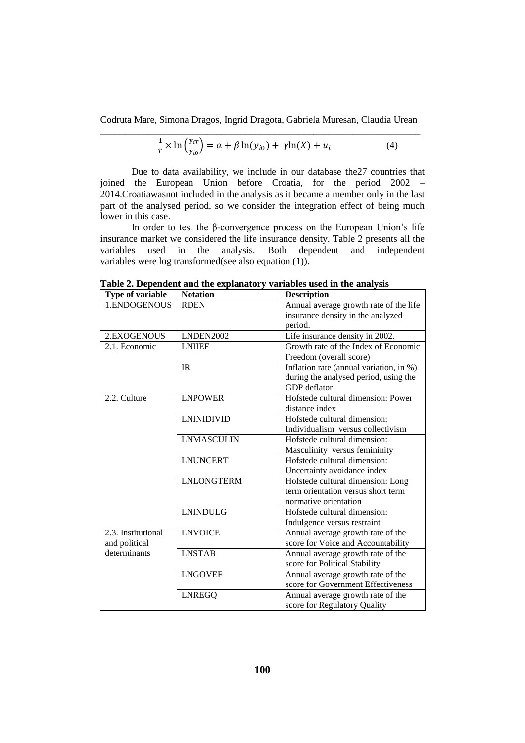Codruta Mare, Simona Dragos, Ingrid Dragota, Gabriela Muresan, Claudia Urean

$$
\frac{1}{T} \times \ln\left(\frac{y_{iT}}{y_{io}}\right) = a + \beta \ln(y_{io}) + \gamma \ln(X) + u_i \tag{4}
$$

Due to data availability, we include in our database the27 countries that joined the European Union before Croatia, for the period 2002 – 2014.Croatiawasnot included in the analysis as it became a member only in the last part of the analysed period, so we consider the integration effect of being much lower in this case.

In order to test the β-convergence process on the European Union's life insurance market we considered the life insurance density. Table 2 presents all the variables used in the analysis. Both dependent and independent variables were log transformed(see also equation (1)).

| Type of variable   | <b>Notation</b>   | <b>Description</b>                      |
|--------------------|-------------------|-----------------------------------------|
| 1.ENDOGENOUS       | <b>RDEN</b>       | Annual average growth rate of the life  |
|                    |                   | insurance density in the analyzed       |
|                    |                   | period.                                 |
| 2.EXOGENOUS        | LNDEN2002         | Life insurance density in 2002.         |
| 2.1. Economic      | <b>LNIIEF</b>     | Growth rate of the Index of Economic    |
|                    |                   | Freedom (overall score)                 |
|                    | IR                | Inflation rate (annual variation, in %) |
|                    |                   | during the analysed period, using the   |
|                    |                   | GDP deflator                            |
| 2.2. Culture       | <b>LNPOWER</b>    | Hofstede cultural dimension: Power      |
|                    |                   | distance index                          |
|                    | <b>LNINIDIVID</b> | Hofstede cultural dimension:            |
|                    |                   | Individualism versus collectivism       |
|                    | <b>LNMASCULIN</b> | Hofstede cultural dimension:            |
|                    |                   | Masculinity versus femininity           |
|                    | <b>LNUNCERT</b>   | Hofstede cultural dimension:            |
|                    |                   | Uncertainty avoidance index             |
|                    | <b>LNLONGTERM</b> | Hofstede cultural dimension: Long       |
|                    |                   | term orientation versus short term      |
|                    |                   | normative orientation                   |
|                    | <b>LNINDULG</b>   | Hofstede cultural dimension:            |
|                    |                   | Indulgence versus restraint             |
| 2.3. Institutional | <b>LNVOICE</b>    | Annual average growth rate of the       |
| and political      |                   | score for Voice and Accountability      |
| determinants       | <b>LNSTAB</b>     | Annual average growth rate of the       |
|                    |                   | score for Political Stability           |
|                    | <b>LNGOVEF</b>    | Annual average growth rate of the       |
|                    |                   | score for Government Effectiveness      |
|                    | <b>LNREGQ</b>     | Annual average growth rate of the       |
|                    |                   | score for Regulatory Quality            |

**Table 2. Dependent and the explanatory variables used in the analysis**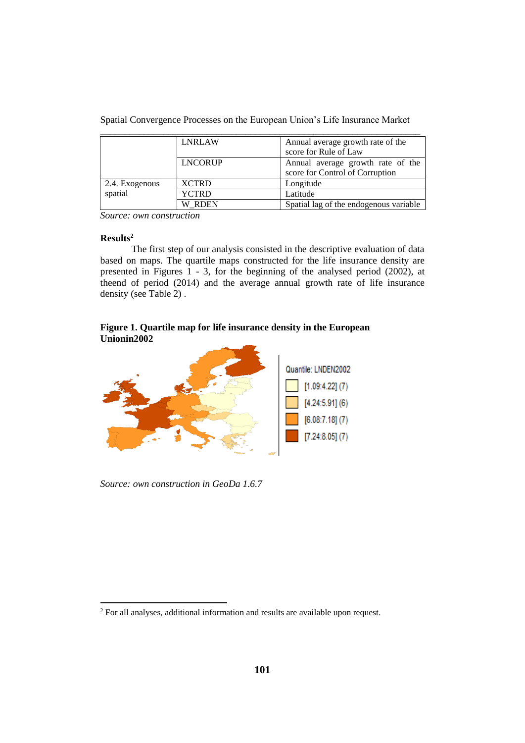|  | Spatial Convergence Processes on the European Union's Life Insurance Market |  |  |  |  |
|--|-----------------------------------------------------------------------------|--|--|--|--|
|  |                                                                             |  |  |  |  |

|                | <b>LNRLAW</b>  | Annual average growth rate of the      |  |  |
|----------------|----------------|----------------------------------------|--|--|
|                |                | score for Rule of Law                  |  |  |
|                | <b>LNCORUP</b> | Annual average growth rate of the      |  |  |
|                |                | score for Control of Corruption        |  |  |
| 2.4. Exogenous | <b>XCTRD</b>   | Longitude                              |  |  |
| spatial        | <b>YCTRD</b>   | Latitude                               |  |  |
|                | W RDEN         | Spatial lag of the endogenous variable |  |  |

*Source: own construction*

## **Results<sup>2</sup>**

 $\overline{a}$ 

The first step of our analysis consisted in the descriptive evaluation of data based on maps. The quartile maps constructed for the life insurance density are presented in Figures  $\hat{1}$  - 3, for the beginning of the analysed period (2002), at theend of period (2014) and the average annual growth rate of life insurance density (see Table 2) .

# **Figure 1. Quartile map for life insurance density in the European Unionin2002**



*Source: own construction in GeoDa 1.6.7*

<sup>&</sup>lt;sup>2</sup> For all analyses, additional information and results are available upon request.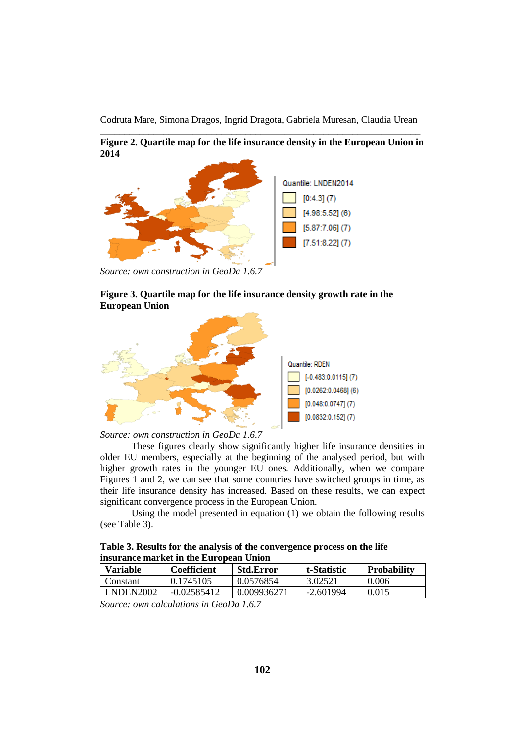**Figure 2. Quartile map for the life insurance density in the European Union in 2014**



*Source: own construction in GeoDa 1.6.7*

# **Figure 3. Quartile map for the life insurance density growth rate in the European Union**



*Source: own construction in GeoDa 1.6.7*

These figures clearly show significantly higher life insurance densities in older EU members, especially at the beginning of the analysed period, but with higher growth rates in the younger EU ones. Additionally, when we compare Figures 1 and 2, we can see that some countries have switched groups in time, as their life insurance density has increased. Based on these results, we can expect significant convergence process in the European Union.

Using the model presented in equation (1) we obtain the following results (see Table 3).

**Table 3. Results for the analysis of the convergence process on the life insurance market in the European Union**

| <b>Variable</b><br><b>Coefficient</b> |               | <b>Std.Error</b> | t-Statistic | <b>Probability</b> |  |
|---------------------------------------|---------------|------------------|-------------|--------------------|--|
| Constant                              | 0.1745105     | 0.0576854        | 3.02521     | 0.006              |  |
| <b>LNDEN2002</b>                      | $-0.02585412$ | 0.009936271      | -2.601994   | 0.015              |  |

*Source: own calculations in GeoDa 1.6.7*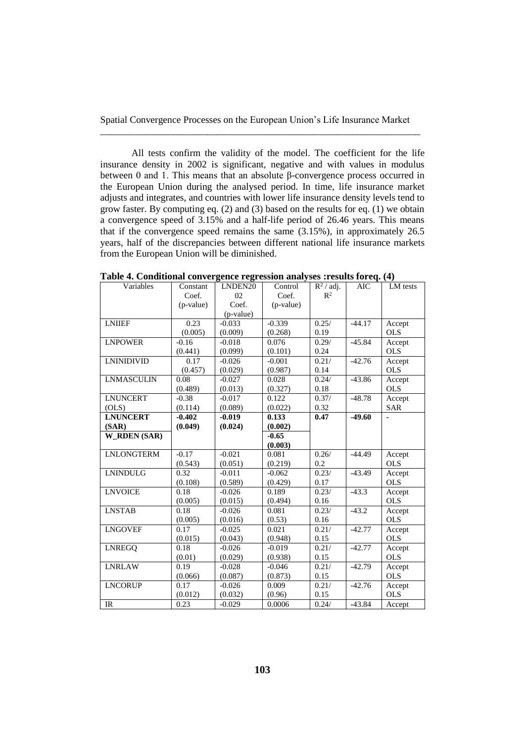All tests confirm the validity of the model. The coefficient for the life insurance density in 2002 is significant, negative and with values in modulus between 0 and 1. This means that an absolute β-convergence process occurred in the European Union during the analysed period. In time, life insurance market adjusts and integrates, and countries with lower life insurance density levels tend to grow faster. By computing eq. (2) and (3) based on the results for eq. (1) we obtain a convergence speed of 3.15% and a half-life period of 26.46 years. This means that if the convergence speed remains the same (3.15%), in approximately 26.5 years, half of the discrepancies between different national life insurance markets from the European Union will be diminished.

| Variables           | Constant  | LNDEN20   | Control   | $\overline{R^2/}$ adj. | <b>AIC</b> | LM tests   |
|---------------------|-----------|-----------|-----------|------------------------|------------|------------|
|                     | Coef.     | 02        | Coef.     | $R^2$                  |            |            |
|                     | (p-value) | Coef.     | (p-value) |                        |            |            |
|                     |           | (p-value) |           |                        |            |            |
| <b>LNIIEF</b>       | 0.23      | $-0.033$  | $-0.339$  | 0.25/                  | $-44.17$   | Accept     |
|                     | (0.005)   | (0.009)   | (0.268)   | 0.19                   |            | <b>OLS</b> |
| <b>LNPOWER</b>      | $-0.16$   | $-0.018$  | 0.076     | 0.29/                  | $-45.84$   | Accept     |
|                     | (0.441)   | (0.099)   | (0.101)   | 0.24                   |            | <b>OLS</b> |
| <b>LNINIDIVID</b>   | 0.17      | $-0.026$  | $-0.001$  | 0.21/                  | $-42.76$   | Accept     |
|                     | (0.457)   | (0.029)   | (0.987)   | 0.14                   |            | <b>OLS</b> |
| <b>LNMASCULIN</b>   | 0.08      | $-0.027$  | 0.028     | 0.24/                  | $-43.86$   | Accept     |
|                     | (0.489)   | (0.013)   | (0.327)   | 0.18                   |            | <b>OLS</b> |
| <b>LNUNCERT</b>     | $-0.38$   | $-0.017$  | 0.122     | 0.37/                  | $-48.78$   | Accept     |
| (OLS)               | (0.114)   | (0.089)   | (0.022)   | 0.32                   |            | <b>SAR</b> |
| <b>LNUNCERT</b>     | $-0.402$  | $-0.019$  | 0.133     | 0.47                   | $-49.60$   |            |
| (SAR)               | (0.049)   | (0.024)   | (0.002)   |                        |            |            |
| <b>W_RDEN</b> (SAR) |           |           | $-0.65$   |                        |            |            |
|                     |           |           | (0.003)   |                        |            |            |
| <b>LNLONGTERM</b>   | $-0.17$   | $-0.021$  | 0.081     | 0.26/                  | $-44.49$   | Accept     |
|                     | (0.543)   | (0.051)   | (0.219)   | 0.2                    |            | <b>OLS</b> |
| <b>LNINDULG</b>     | 0.32      | $-0.011$  | $-0.062$  | 0.23/                  | $-43.49$   | Accept     |
|                     | (0.108)   | (0.589)   | (0.429)   | 0.17                   |            | <b>OLS</b> |
| <b>LNVOICE</b>      | 0.18      | $-0.026$  | 0.189     | 0.23/                  | $-43.3$    | Accept     |
|                     | (0.005)   | (0.015)   | (0.494)   | 0.16                   |            | <b>OLS</b> |
| <b>LNSTAB</b>       | 0.18      | $-0.026$  | 0.081     | 0.23/                  | $-43.2$    | Accept     |
|                     | (0.005)   | (0.016)   | (0.53)    | 0.16                   |            | <b>OLS</b> |
| <b>LNGOVEF</b>      | 0.17      | $-0.025$  | 0.021     | 0.21/                  | $-42.77$   | Accept     |
|                     | (0.015)   | (0.043)   | (0.948)   | 0.15                   |            | <b>OLS</b> |
| <b>LNREGO</b>       | 0.18      | $-0.026$  | $-0.019$  | 0.21/                  | $-42.77$   | Accept     |
|                     | (0.01)    | (0.029)   | (0.938)   | 0.15                   |            | <b>OLS</b> |
| <b>LNRLAW</b>       | 0.19      | $-0.028$  | $-0.046$  | 0.21/                  | $-42.79$   | Accept     |
|                     | (0.066)   | (0.087)   | (0.873)   | 0.15                   |            | OLS.       |
| <b>LNCORUP</b>      | 0.17      | $-0.026$  | 0.009     | 0.21/                  | $-42.76$   | Accept     |
|                     | (0.012)   | (0.032)   | (0.96)    | 0.15                   |            | <b>OLS</b> |
| <b>IR</b>           | 0.23      | $-0.029$  | 0.0006    | 0.24/                  | $-43.84$   | Accept     |

**Table 4. Conditional convergence regression analyses :results foreq. (4)**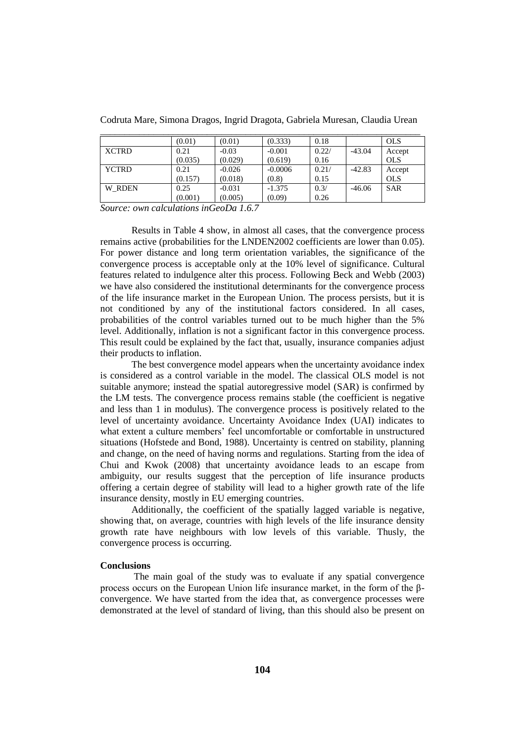|              | (0.01)  | (0.01)   | (0.333)   | 0.18  |          | <b>OLS</b> |
|--------------|---------|----------|-----------|-------|----------|------------|
| <b>XCTRD</b> | 0.21    | $-0.03$  | $-0.001$  | 0.22/ | $-43.04$ | Accept     |
|              | (0.035) | (0.029)  | (0.619)   | 0.16  |          | <b>OLS</b> |
| <b>YCTRD</b> | 0.21    | $-0.026$ | $-0.0006$ | 0.21/ | $-42.83$ | Accept     |
|              | (0.157) | (0.018)  | (0.8)     | 0.15  |          | <b>OLS</b> |
| W RDEN       | 0.25    | $-0.031$ | $-1.375$  | 0.3/  | $-46.06$ | <b>SAR</b> |
|              | (0.001) | (0.005)  | (0.09)    | 0.26  |          |            |

Codruta Mare, Simona Dragos, Ingrid Dragota, Gabriela Muresan, Claudia Urean \_\_\_\_\_\_\_\_\_\_\_\_\_\_\_\_\_\_\_\_\_\_\_\_\_\_\_\_\_\_\_\_\_\_\_\_\_\_\_\_\_\_\_\_\_\_\_\_\_\_\_\_\_\_\_\_\_\_\_\_\_\_\_\_\_\_

*Source: own calculations inGeoDa 1.6.7*

Results in Table 4 show, in almost all cases, that the convergence process remains active (probabilities for the LNDEN2002 coefficients are lower than 0.05). For power distance and long term orientation variables, the significance of the convergence process is acceptable only at the 10% level of significance. Cultural features related to indulgence alter this process. Following Beck and Webb (2003) we have also considered the institutional determinants for the convergence process of the life insurance market in the European Union. The process persists, but it is not conditioned by any of the institutional factors considered. In all cases, probabilities of the control variables turned out to be much higher than the 5% level. Additionally, inflation is not a significant factor in this convergence process. This result could be explained by the fact that, usually, insurance companies adjust their products to inflation.

The best convergence model appears when the uncertainty avoidance index is considered as a control variable in the model. The classical OLS model is not suitable anymore; instead the spatial autoregressive model (SAR) is confirmed by the LM tests. The convergence process remains stable (the coefficient is negative and less than 1 in modulus). The convergence process is positively related to the level of uncertainty avoidance. Uncertainty Avoidance Index (UAI) indicates to what extent a culture members' feel uncomfortable or comfortable in unstructured situations (Hofstede and Bond, 1988). Uncertainty is centred on stability, planning and change, on the need of having norms and regulations. Starting from the idea of Chui and Kwok (2008) that uncertainty avoidance leads to an escape from ambiguity, our results suggest that the perception of life insurance products offering a certain degree of stability will lead to a higher growth rate of the life insurance density, mostly in EU emerging countries.

Additionally, the coefficient of the spatially lagged variable is negative, showing that, on average, countries with high levels of the life insurance density growth rate have neighbours with low levels of this variable. Thusly, the convergence process is occurring.

## **Conclusions**

The main goal of the study was to evaluate if any spatial convergence process occurs on the European Union life insurance market, in the form of the βconvergence. We have started from the idea that, as convergence processes were demonstrated at the level of standard of living, than this should also be present on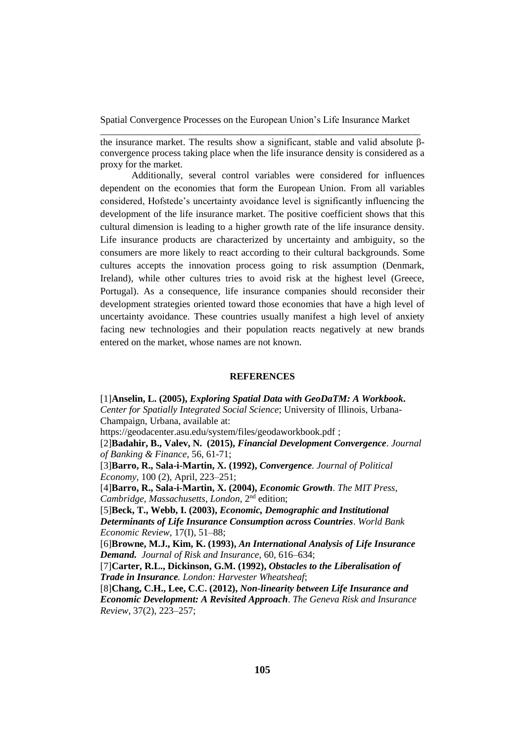the insurance market. The results show a significant, stable and valid absolute βconvergence process taking place when the life insurance density is considered as a proxy for the market.

Additionally, several control variables were considered for influences dependent on the economies that form the European Union. From all variables considered, Hofstede's uncertainty avoidance level is significantly influencing the development of the life insurance market. The positive coefficient shows that this cultural dimension is leading to a higher growth rate of the life insurance density. Life insurance products are characterized by uncertainty and ambiguity, so the consumers are more likely to react according to their cultural backgrounds. Some cultures accepts the innovation process going to risk assumption (Denmark, Ireland), while other cultures tries to avoid risk at the highest level (Greece, Portugal). As a consequence, life insurance companies should reconsider their development strategies oriented toward those economies that have a high level of uncertainty avoidance. These countries usually manifest a high level of anxiety facing new technologies and their population reacts negatively at new brands entered on the market, whose names are not known.

## **REFERENCES**

[1]**Anselin, L. (2005),** *Exploring Spatial Data with GeoDaTM: A Workbook***.** *Center for Spatially Integrated Social Science*; University of Illinois, Urbana-Champaign, Urbana, available at: <https://geodacenter.asu.edu/system/files/geodaworkbook.pdf> ; [2]**Badahir, B., Valev, N. (2015),** *Financial Development Convergence*. *Journal of Banking & Finance*, 56, 61-71; [3]**Barro, R., Sala-i-Martin, X. (1992),** *Convergence. Journal of Political Economy,* 100 (2), April, 223–251; [4]**Barro, R., Sala-i-Martin, X. (2004),** *Economic Growth*. *The MIT Press,*  Cambridge, Massachusetts, London, 2<sup>nd</sup> edition; [5]**Beck, T., Webb, I. (2003),** *Economic, Demographic and Institutional Determinants of Life Insurance Consumption across Countries*. *World Bank Economic Review*, 17(I), 51–88; [6]**Browne, M.J., Kim, K. (1993),** *An International Analysis of Life Insurance Demand. Journal of Risk and Insurance*, 60, 616–634; [7]**Carter, R.L., Dickinson, G.M. (1992),** *Obstacles to the Liberalisation of Trade in Insurance. London: Harvester Wheatsheaf*; [8]**Chang, C.H., Lee, C.C. (2012),** *Non-linearity between Life Insurance and Economic Development: A Revisited Approach*. *The Geneva Risk and Insurance Review*, 37(2), 223–257;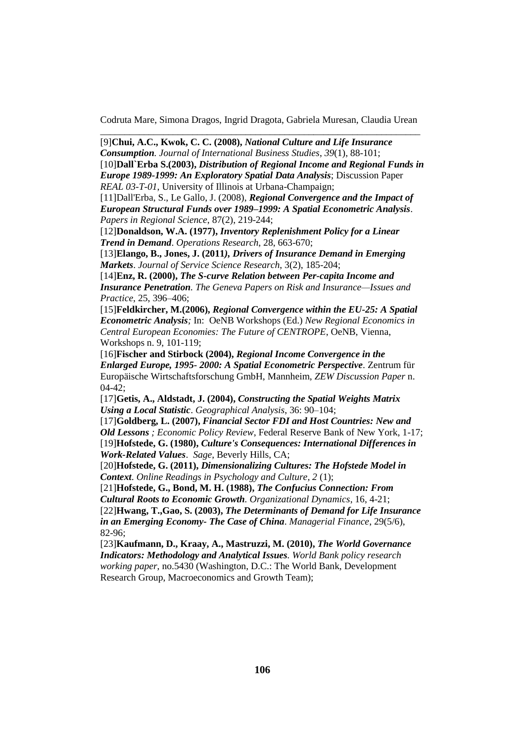[9]**Chui, A.C., Kwok, C. C. (2008),** *National Culture and Life Insurance Consumption. Journal of International Business Studies*, *39*(1), 88-101; [10]**Dall`Erba S.(2003),** *Distribution of Regional Income and Regional Funds in Europe 1989-1999: An Exploratory Spatial Data Analysis*; Discussion Paper *REAL 03-T-01*, University of Illinois at Urbana-Champaign;

[11]Dall'Erba, S., Le Gallo, J. (2008), *Regional Convergence and the Impact of European Structural Funds over 1989–1999: A Spatial Econometric Analysis*. *Papers in Regional Science*, 87(2), 219-244;

[12]**Donaldson, W.A. (1977),** *Inventory Replenishment Policy for a Linear Trend in Demand*. *Operations Research*, 28, 663-670;

[13]**Elango, B., Jones, J. (2011***), Drivers of Insurance Demand in Emerging Markets*. *Journal of Service Science Research*, 3(2), 185-204;

[14]**Enz, R. (2000),** *The S-curve Relation between Per-capita Income and Insurance Penetration. The Geneva Papers on Risk and Insurance—Issues and Practice*, 25, 396–406;

[15]**Feldkircher, M.(2006),** *Regional Convergence within the EU-25: A Spatial Econometric Analysis;* In: OeNB Workshops (Ed.) *New Regional Economics in Central European Economies: The Future of CENTROPE*, OeNB, Vienna, Workshops n. 9, 101-119;

[16]**Fischer and Stirbock (2004),** *Regional Income Convergence in the Enlarged Europe, 1995- 2000: A Spatial Econometric Perspective*. Zentrum für Europäische Wirtschaftsforschung GmbH, Mannheim, *ZEW Discussion Paper* n. 04-42;

[17]**Getis, A., Aldstadt, J. (2004),** *Constructing the Spatial Weights Matrix Using a Local Statistic*. *Geographical Analysis*, 36: 90–104;

[17]**Goldberg, L. (2007),** *Financial Sector FDI and Host Countries: New and Old Lessons ; Economic Policy Review*, Federal Reserve Bank of New York, 1-17; [19]**Hofstede, G. (1980),** *Culture's Consequences: International Differences in Work-Related Values*. *Sage*, Beverly Hills, CA;

[20]**Hofstede, G. (2011),** *Dimensionalizing Cultures: The Hofstede Model in Context*. *Online Readings in Psychology and Culture, 2* (1);

[21]**Hofstede, G., Bond, M. H. (1988),** *The Confucius Connection: From Cultural Roots to Economic Growth. Organizational Dynamics*, 16, 4-21; [22]**Hwang, T.,Gao, S. (2003),** *The Determinants of Demand for Life Insurance in an Emerging Economy- The Case of China*. *Managerial Finance*, 29(5/6), 82-96;

[23]**Kaufmann, D., Kraay, A., Mastruzzi, M. (2010),** *The World Governance Indicators: Methodology and Analytical Issues. World Bank policy research working paper*, no.5430 (Washington, D.C.: The World Bank, Development Research Group, Macroeconomics and Growth Team);